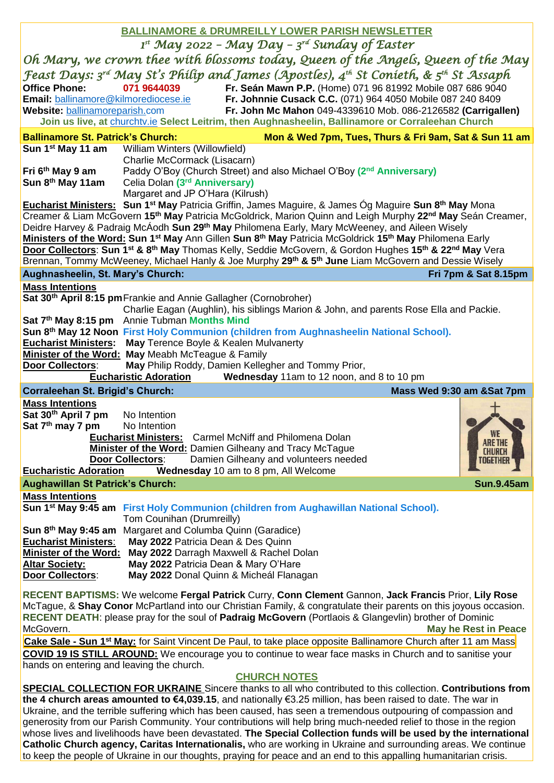| <b>BALLINAMORE &amp; DRUMREILLY LOWER PARISH NEWSLETTER</b>                                                                                                                                                                                                                                                                                                                                                                                                                                                                                                                                                                                                                              |                                                                                 |                                                                                                                                                                                                                                                                                                                                                                                                                                                                                                                                                                                                                                                                                                                |                                                |
|------------------------------------------------------------------------------------------------------------------------------------------------------------------------------------------------------------------------------------------------------------------------------------------------------------------------------------------------------------------------------------------------------------------------------------------------------------------------------------------------------------------------------------------------------------------------------------------------------------------------------------------------------------------------------------------|---------------------------------------------------------------------------------|----------------------------------------------------------------------------------------------------------------------------------------------------------------------------------------------------------------------------------------------------------------------------------------------------------------------------------------------------------------------------------------------------------------------------------------------------------------------------------------------------------------------------------------------------------------------------------------------------------------------------------------------------------------------------------------------------------------|------------------------------------------------|
| $I^{st}$ May 2022 - May Day - $3^{rd}$ Sunday of Easter                                                                                                                                                                                                                                                                                                                                                                                                                                                                                                                                                                                                                                  |                                                                                 |                                                                                                                                                                                                                                                                                                                                                                                                                                                                                                                                                                                                                                                                                                                |                                                |
| Oh Mary, we crown thee with blossoms today, Queen of the Angels, Queen of the May                                                                                                                                                                                                                                                                                                                                                                                                                                                                                                                                                                                                        |                                                                                 |                                                                                                                                                                                                                                                                                                                                                                                                                                                                                                                                                                                                                                                                                                                |                                                |
| <b>Office Phone:</b><br>Website: ballinamoreparish.com                                                                                                                                                                                                                                                                                                                                                                                                                                                                                                                                                                                                                                   | 071 9644039<br>Email: ballinamore@kilmorediocese.ie                             | Feast Days: 3rd May St's Philip and James (Apostles), 4 <sup>th</sup> St Conieth, & 5 <sup>th</sup> St Assaph<br>Fr. Seán Mawn P.P. (Home) 071 96 81992 Mobile 087 686 9040<br>Fr. Johnnie Cusack C.C. (071) 964 4050 Mobile 087 240 8409<br>Fr. John Mc Mahon 049-4339610 Mob. 086-2126582 (Carrigallen)<br>Join us live, at churchtv.ie Select Leitrim, then Aughnasheelin, Ballinamore or Corraleehan Church                                                                                                                                                                                                                                                                                                |                                                |
| <b>Ballinamore St. Patrick's Church:</b>                                                                                                                                                                                                                                                                                                                                                                                                                                                                                                                                                                                                                                                 |                                                                                 | Mon & Wed 7pm, Tues, Thurs & Fri 9am, Sat & Sun 11 am                                                                                                                                                                                                                                                                                                                                                                                                                                                                                                                                                                                                                                                          |                                                |
| Sun 1 <sup>st</sup> May 11 am                                                                                                                                                                                                                                                                                                                                                                                                                                                                                                                                                                                                                                                            | William Winters (Willowfield)                                                   |                                                                                                                                                                                                                                                                                                                                                                                                                                                                                                                                                                                                                                                                                                                |                                                |
|                                                                                                                                                                                                                                                                                                                                                                                                                                                                                                                                                                                                                                                                                          | Charlie McCormack (Lisacarn)                                                    |                                                                                                                                                                                                                                                                                                                                                                                                                                                                                                                                                                                                                                                                                                                |                                                |
| Fri 6 <sup>th</sup> May 9 am<br>Sun 8 <sup>th</sup> May 11am                                                                                                                                                                                                                                                                                                                                                                                                                                                                                                                                                                                                                             | Celia Dolan (3 <sup>rd</sup> Anniversary)                                       | Paddy O'Boy (Church Street) and also Michael O'Boy (2 <sup>nd</sup> Anniversary)                                                                                                                                                                                                                                                                                                                                                                                                                                                                                                                                                                                                                               |                                                |
|                                                                                                                                                                                                                                                                                                                                                                                                                                                                                                                                                                                                                                                                                          | Margaret and JP O'Hara (Kilrush)                                                |                                                                                                                                                                                                                                                                                                                                                                                                                                                                                                                                                                                                                                                                                                                |                                                |
| Eucharist Ministers: Sun 1 <sup>st</sup> May Patricia Griffin, James Maguire, & James Óg Maguire Sun 8 <sup>th</sup> May Mona<br>Creamer & Liam McGovern 15 <sup>th</sup> May Patricia McGoldrick, Marion Quinn and Leigh Murphy 22 <sup>nd</sup> May Seán Creamer,<br>Deidre Harvey & Padraig McÁodh Sun 29 <sup>th</sup> May Philomena Early, Mary McWeeney, and Aileen Wisely<br>Ministers of the Word: Sun 1 <sup>st</sup> May Ann Gillen Sun 8 <sup>th</sup> May Patricia McGoldrick 15 <sup>th</sup> May Philomena Early<br>Door Collectors: Sun 1 <sup>st</sup> & 8 <sup>th</sup> May Thomas Kelly, Seddie McGovern, & Gordon Hughes 15 <sup>th</sup> & 22 <sup>nd</sup> May Vera |                                                                                 |                                                                                                                                                                                                                                                                                                                                                                                                                                                                                                                                                                                                                                                                                                                |                                                |
|                                                                                                                                                                                                                                                                                                                                                                                                                                                                                                                                                                                                                                                                                          |                                                                                 | Brennan, Tommy McWeeney, Michael Hanly & Joe Murphy 29 <sup>th</sup> & 5 <sup>th</sup> June Liam McGovern and Dessie Wisely                                                                                                                                                                                                                                                                                                                                                                                                                                                                                                                                                                                    |                                                |
| Aughnasheelin, St. Mary's Church:                                                                                                                                                                                                                                                                                                                                                                                                                                                                                                                                                                                                                                                        |                                                                                 |                                                                                                                                                                                                                                                                                                                                                                                                                                                                                                                                                                                                                                                                                                                | Fri 7pm & Sat 8.15pm                           |
| <b>Mass Intentions</b>                                                                                                                                                                                                                                                                                                                                                                                                                                                                                                                                                                                                                                                                   | Sat 30 <sup>th</sup> April 8:15 pm Frankie and Annie Gallagher (Cornobroher)    |                                                                                                                                                                                                                                                                                                                                                                                                                                                                                                                                                                                                                                                                                                                |                                                |
|                                                                                                                                                                                                                                                                                                                                                                                                                                                                                                                                                                                                                                                                                          |                                                                                 | Charlie Eagan (Aughlin), his siblings Marion & John, and parents Rose Ella and Packie.                                                                                                                                                                                                                                                                                                                                                                                                                                                                                                                                                                                                                         |                                                |
|                                                                                                                                                                                                                                                                                                                                                                                                                                                                                                                                                                                                                                                                                          | Sat 7 <sup>th</sup> May 8:15 pm Annie Tubman Months Mind                        | Sun 8th May 12 Noon First Holy Communion (children from Aughnasheelin National School).                                                                                                                                                                                                                                                                                                                                                                                                                                                                                                                                                                                                                        |                                                |
|                                                                                                                                                                                                                                                                                                                                                                                                                                                                                                                                                                                                                                                                                          | Eucharist Ministers: May Terence Boyle & Kealen Mulvanerty                      |                                                                                                                                                                                                                                                                                                                                                                                                                                                                                                                                                                                                                                                                                                                |                                                |
|                                                                                                                                                                                                                                                                                                                                                                                                                                                                                                                                                                                                                                                                                          | Minister of the Word: May Meabh McTeague & Family                               |                                                                                                                                                                                                                                                                                                                                                                                                                                                                                                                                                                                                                                                                                                                |                                                |
| Door Collectors:                                                                                                                                                                                                                                                                                                                                                                                                                                                                                                                                                                                                                                                                         | <b>Eucharistic Adoration</b>                                                    | May Philip Roddy, Damien Kellegher and Tommy Prior,<br>Wednesday 11am to 12 noon, and 8 to 10 pm                                                                                                                                                                                                                                                                                                                                                                                                                                                                                                                                                                                                               |                                                |
| <b>Corraleehan St. Brigid's Church:</b>                                                                                                                                                                                                                                                                                                                                                                                                                                                                                                                                                                                                                                                  |                                                                                 |                                                                                                                                                                                                                                                                                                                                                                                                                                                                                                                                                                                                                                                                                                                | Mass Wed 9:30 am &Sat 7pm                      |
|                                                                                                                                                                                                                                                                                                                                                                                                                                                                                                                                                                                                                                                                                          |                                                                                 |                                                                                                                                                                                                                                                                                                                                                                                                                                                                                                                                                                                                                                                                                                                |                                                |
| <b>Mass Intentions</b>                                                                                                                                                                                                                                                                                                                                                                                                                                                                                                                                                                                                                                                                   |                                                                                 |                                                                                                                                                                                                                                                                                                                                                                                                                                                                                                                                                                                                                                                                                                                |                                                |
| Sat 30 <sup>th</sup> April 7 pm<br>Sat 7 <sup>th</sup> may 7 pm No Intention<br><b>Eucharistic Adoration</b>                                                                                                                                                                                                                                                                                                                                                                                                                                                                                                                                                                             | No Intention<br><b>Eucharist Ministers:</b><br><b>Door Collectors:</b>          | Carmel McNiff and Philomena Dolan<br><b>Minister of the Word: Damien Gilheany and Tracy McTague</b><br>Damien Gilheany and volunteers needed<br>Wednesday 10 am to 8 pm, All Welcome                                                                                                                                                                                                                                                                                                                                                                                                                                                                                                                           | <b>ARE THE</b><br><b>CHURCH</b><br>I UGE I HER |
| <b>Aughawillan St Patrick's Church:</b>                                                                                                                                                                                                                                                                                                                                                                                                                                                                                                                                                                                                                                                  |                                                                                 |                                                                                                                                                                                                                                                                                                                                                                                                                                                                                                                                                                                                                                                                                                                | <b>Sun.9.45am</b>                              |
| <b>Mass Intentions</b>                                                                                                                                                                                                                                                                                                                                                                                                                                                                                                                                                                                                                                                                   |                                                                                 |                                                                                                                                                                                                                                                                                                                                                                                                                                                                                                                                                                                                                                                                                                                |                                                |
|                                                                                                                                                                                                                                                                                                                                                                                                                                                                                                                                                                                                                                                                                          | Tom Counihan (Drumreilly)                                                       | Sun 1 <sup>st</sup> May 9:45 am First Holy Communion (children from Aughawillan National School).                                                                                                                                                                                                                                                                                                                                                                                                                                                                                                                                                                                                              |                                                |
|                                                                                                                                                                                                                                                                                                                                                                                                                                                                                                                                                                                                                                                                                          | Sun 8th May 9:45 am Margaret and Columba Quinn (Garadice)                       |                                                                                                                                                                                                                                                                                                                                                                                                                                                                                                                                                                                                                                                                                                                |                                                |
| <b>Eucharist Ministers:</b>                                                                                                                                                                                                                                                                                                                                                                                                                                                                                                                                                                                                                                                              | May 2022 Patricia Dean & Des Quinn                                              |                                                                                                                                                                                                                                                                                                                                                                                                                                                                                                                                                                                                                                                                                                                |                                                |
| <b>Minister of the Word:</b><br><b>Altar Society:</b>                                                                                                                                                                                                                                                                                                                                                                                                                                                                                                                                                                                                                                    | May 2022 Darragh Maxwell & Rachel Dolan<br>May 2022 Patricia Dean & Mary O'Hare |                                                                                                                                                                                                                                                                                                                                                                                                                                                                                                                                                                                                                                                                                                                |                                                |
| <b>Door Collectors:</b>                                                                                                                                                                                                                                                                                                                                                                                                                                                                                                                                                                                                                                                                  | May 2022 Donal Quinn & Micheál Flanagan                                         |                                                                                                                                                                                                                                                                                                                                                                                                                                                                                                                                                                                                                                                                                                                |                                                |
| McGovern.                                                                                                                                                                                                                                                                                                                                                                                                                                                                                                                                                                                                                                                                                |                                                                                 | RECENT BAPTISMS: We welcome Fergal Patrick Curry, Conn Clement Gannon, Jack Francis Prior, Lily Rose<br>McTague, & Shay Conor McPartland into our Christian Family, & congratulate their parents on this joyous occasion.<br>RECENT DEATH: please pray for the soul of Padraig McGovern (Portlaois & Glangevlin) brother of Dominic                                                                                                                                                                                                                                                                                                                                                                            | <b>May he Rest in Peace</b>                    |
|                                                                                                                                                                                                                                                                                                                                                                                                                                                                                                                                                                                                                                                                                          |                                                                                 | Cake Sale - Sun 1 <sup>st</sup> May: for Saint Vincent De Paul, to take place opposite Ballinamore Church after 11 am Mass                                                                                                                                                                                                                                                                                                                                                                                                                                                                                                                                                                                     |                                                |
| hands on entering and leaving the church.                                                                                                                                                                                                                                                                                                                                                                                                                                                                                                                                                                                                                                                |                                                                                 | <b>COVID 19 IS STILL AROUND:</b> We encourage you to continue to wear face masks in Church and to sanitise your                                                                                                                                                                                                                                                                                                                                                                                                                                                                                                                                                                                                |                                                |
|                                                                                                                                                                                                                                                                                                                                                                                                                                                                                                                                                                                                                                                                                          |                                                                                 | <b>CHURCH NOTES</b>                                                                                                                                                                                                                                                                                                                                                                                                                                                                                                                                                                                                                                                                                            |                                                |
|                                                                                                                                                                                                                                                                                                                                                                                                                                                                                                                                                                                                                                                                                          |                                                                                 | <b>SPECIAL COLLECTION FOR UKRAINE</b> Sincere thanks to all who contributed to this collection. Contributions from                                                                                                                                                                                                                                                                                                                                                                                                                                                                                                                                                                                             |                                                |
|                                                                                                                                                                                                                                                                                                                                                                                                                                                                                                                                                                                                                                                                                          |                                                                                 | the 4 church areas amounted to €4,039.15, and nationally €3.25 million, has been raised to date. The war in<br>Ukraine, and the terrible suffering which has been caused, has seen a tremendous outpouring of compassion and<br>generosity from our Parish Community. Your contributions will help bring much-needed relief to those in the region<br>whose lives and livelihoods have been devastated. The Special Collection funds will be used by the international<br>Catholic Church agency, Caritas Internationalis, who are working in Ukraine and surrounding areas. We continue<br>to keep the people of Ukraine in our thoughts, praying for peace and an end to this appalling humanitarian crisis. |                                                |